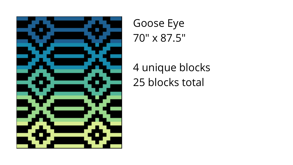

Goose Eye 70" x 87.5"

4 unique blocks 25 blocks total

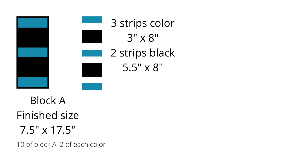## Block A Finished size 7.5" x 17.5"



10 of block A, 2 of each color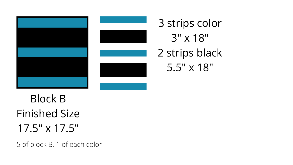## Block B Finished Size 17.5" x 17.5"





3 strips color 3" x 18" 2 strips black 5.5" x 18"

5 of block B, 1 of each color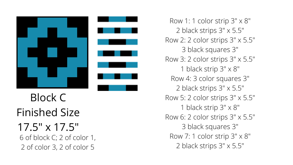





Row 1: 1 color strip 3" x 8" 2 black strips 3" x 5.5" Row 2: 2 color strips 3" x 5.5" 3 black squares 3" Row 3: 2 color strips 3" x 5.5" 1 black strip 3" x 8" Row 4: 3 color squares 3" 2 black strips 3" x 5.5" Row 5: 2 color strips 3" x 5.5" 1 black strip 3" x 8" Row 6: 2 color strips 3" x 5.5" 3 black squares 3" Row 7: 1 color strip 3" x 8" 2 black strips 3" x 5.5"

- -
- -
- -
- -